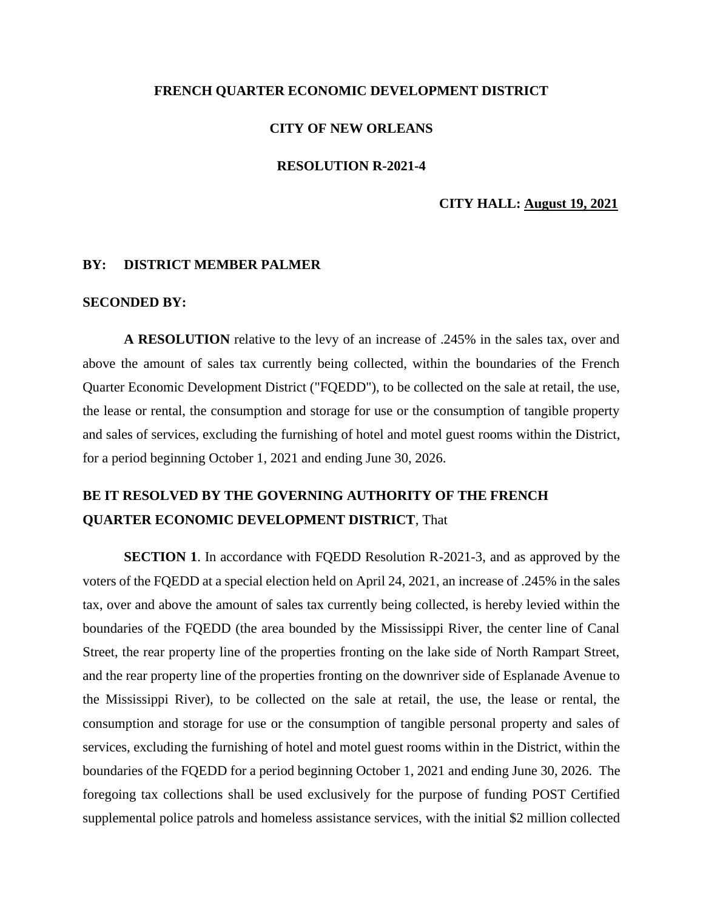## **FRENCH QUARTER ECONOMIC DEVELOPMENT DISTRICT**

## **CITY OF NEW ORLEANS**

## **RESOLUTION R-2021-4**

#### **CITY HALL: August 19, 2021**

#### **BY: DISTRICT MEMBER PALMER**

#### **SECONDED BY:**

**A RESOLUTION** relative to the levy of an increase of .245% in the sales tax, over and above the amount of sales tax currently being collected, within the boundaries of the French Quarter Economic Development District ("FQEDD"), to be collected on the sale at retail, the use, the lease or rental, the consumption and storage for use or the consumption of tangible property and sales of services, excluding the furnishing of hotel and motel guest rooms within the District, for a period beginning October 1, 2021 and ending June 30, 2026.

# **BE IT RESOLVED BY THE GOVERNING AUTHORITY OF THE FRENCH QUARTER ECONOMIC DEVELOPMENT DISTRICT**, That

**SECTION 1**. In accordance with FQEDD Resolution R-2021-3, and as approved by the voters of the FQEDD at a special election held on April 24, 2021, an increase of .245% in the sales tax, over and above the amount of sales tax currently being collected, is hereby levied within the boundaries of the FQEDD (the area bounded by the Mississippi River, the center line of Canal Street, the rear property line of the properties fronting on the lake side of North Rampart Street, and the rear property line of the properties fronting on the downriver side of Esplanade Avenue to the Mississippi River), to be collected on the sale at retail, the use, the lease or rental, the consumption and storage for use or the consumption of tangible personal property and sales of services, excluding the furnishing of hotel and motel guest rooms within in the District, within the boundaries of the FQEDD for a period beginning October 1, 2021 and ending June 30, 2026. The foregoing tax collections shall be used exclusively for the purpose of funding POST Certified supplemental police patrols and homeless assistance services, with the initial \$2 million collected